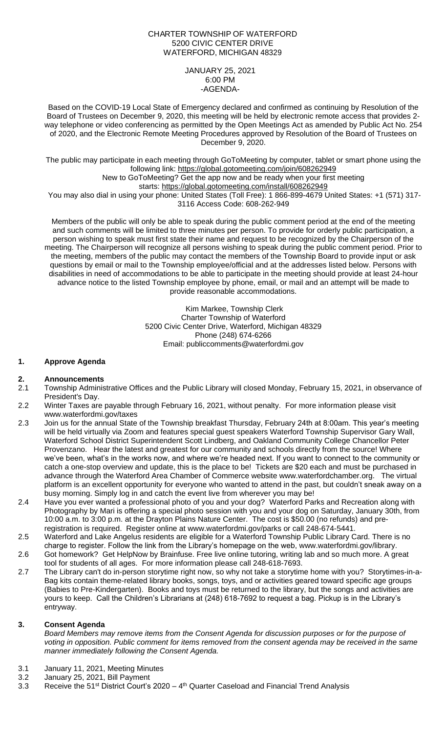### CHARTER TOWNSHIP OF WATERFORD 5200 CIVIC CENTER DRIVE WATERFORD, MICHIGAN 48329

JANUARY 25, 2021 6:00 PM -AGENDA-

Based on the COVID-19 Local State of Emergency declared and confirmed as continuing by Resolution of the Board of Trustees on December 9, 2020, this meeting will be held by electronic remote access that provides 2 way telephone or video conferencing as permitted by the Open Meetings Act as amended by Public Act No. 254 of 2020, and the Electronic Remote Meeting Procedures approved by Resolution of the Board of Trustees on December 9, 2020.

The public may participate in each meeting through GoToMeeting by computer, tablet or smart phone using the following link: https://global.gotomeeting.com/join/608262949 New to GoToMeeting? Get the app now and be ready when your first meeting

starts: https://global.gotomeeting.com/install/608262949 You may also dial in using your phone: United States (Toll Free): 1 866-899-4679 United States: +1 (571) 317-3116 Access Code: 608-262-949

Members of the public will only be able to speak during the public comment period at the end of the meeting and such comments will be limited to three minutes per person. To provide for orderly public participation, a person wishing to speak must first state their name and request to be recognized by the Chairperson of the meeting. The Chairperson will recognize all persons wishing to speak during the public comment period. Prior to the meeting, members of the public may contact the members of the Township Board to provide input or ask questions by email or mail to the Township employee/official and at the addresses listed below. Persons with disabilities in need of accommodations to be able to participate in the meeting should provide at least 24-hour advance notice to the listed Township employee by phone, email, or mail and an attempt will be made to provide reasonable accommodations.

> Kim Markee, Township Clerk Charter Township of Waterford 5200 Civic Center Drive, Waterford, Michigan 48329 Phone (248) 674-6266 Email: [publiccomments@waterfordmi.gov](mailto:publiccomments@waterfordmi.gov)

# **1. Approve Agenda**

### **2. Announcements**

- 2.1 Township Administrative Offices and the Public Library will closed Monday, February 15, 2021, in observance of President's Day.
- 2.2 Winter Taxes are payable through February 16, 2021, without penalty. For more information please visit [www.waterfordmi.gov/taxes](http://www.waterfordmi.gov/taxes)
- 2.3 Join us for the annual State of the Township breakfast Thursday, February 24th at 8:00am. This year's meeting will be held virtually via Zoom and features special guest speakers Waterford Township Supervisor Gary Wall, Waterford School District Superintendent Scott Lindberg, and Oakland Community College Chancellor Peter Provenzano. Hear the latest and greatest for our community and schools directly from the source! Where we've been, what's in the works now, and where we're headed next. If you want to connect to the community or catch a one-stop overview and update, this is the place to be! Tickets are \$20 each and must be purchased in advance through the Waterford Area Chamber of Commerce website www.waterfordchamber.org. The virtual platform is an excellent opportunity for everyone who wanted to attend in the past, but couldn't sneak away on a busy morning. Simply log in and catch the event live from wherever you may be!
- 2.4 Have you ever wanted a professional photo of you and your dog? Waterford Parks and Recreation along with Photography by Mari is offering a special photo session with you and your dog on Saturday, January 30th, from 10:00 a.m. to 3:00 p.m. at the Drayton Plains Nature Center. The cost is \$50.00 (no refunds) and preregistration is required. Register online at www.waterfordmi.gov/parks or call 248-674-5441.
- 2.5 Waterford and Lake Angelus residents are eligible for a Waterford Township Public Library Card. There is no charge to register. Follow the link from the Library's homepage on the web, [www.waterfordmi.gov/library.](http://www.waterfordmi.gov/library)
- 2.6 Got homework? Get HelpNow by Brainfuse. Free live online tutoring, writing lab and so much more. A great tool for students of all ages. For more information please call 248-618-7693.
- 2.7 The Library can't do in-person storytime right now, so why not take a storytime home with you? Storytimes-in-a-Bag kits contain theme-related library books, songs, toys, and or activities geared toward specific age groups (Babies to Pre-Kindergarten). Books and toys must be returned to the library, but the songs and activities are yours to keep. Call the Children's Librarians at (248) 618-7692 to request a bag. Pickup is in the Library's entryway.

# **3. Consent Agenda**

*Board Members may remove items from the Consent Agenda for discussion purposes or for the purpose of voting in opposition. Public comment for items removed from the consent agenda may be received in the same manner immediately following the Consent Agenda.*

- 3.1 January 11, 2021, Meeting Minutes
- 3.2 January 25, 2021, Bill Payment
- 3.3 Receive the 51<sup>st</sup> District Court's 2020 4<sup>th</sup> Quarter Caseload and Financial Trend Analysis